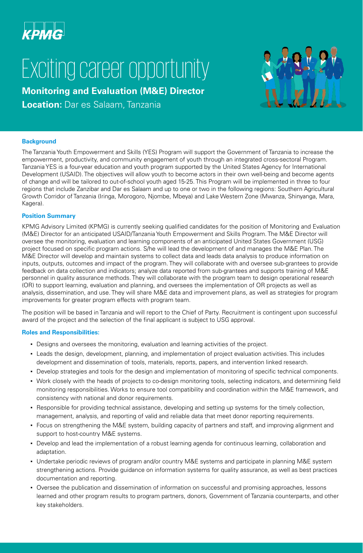

## Exciting career opportunity

**Monitoring and Evaluation (M&E) Director**

**Location:** Dar es Salaam, Tanzania



The Tanzania Youth Empowerment and Skills (YES) Program will support the Government of Tanzania to increase the empowerment, productivity, and community engagement of youth through an integrated cross-sectoral Program. Tanzania YES is a four-year education and youth program supported by the United States Agency for International Development (USAID). The objectives will allow youth to become actors in their own well-being and become agents of change and will be tailored to out-of-school youth aged 15-25. This Program will be implemented in three to four regions that include Zanzibar and Dar es Salaam and up to one or two in the following regions: Southern Agricultural Growth Corridor of Tanzania (Iringa, Morogoro, Njombe, Mbeya) and Lake Western Zone (Mwanza, Shinyanga, Mara, Kagera).

## **Position Summary**

KPMG Advisory Limited (KPMG) is currently seeking qualified candidates for the position of Monitoring and Evaluation (M&E) Director for an anticipated USAID/Tanzania Youth Empowerment and Skills Program. The M&E Director will oversee the monitoring, evaluation and learning components of an anticipated United States Government (USG) project focused on specific program actions. S/he will lead the development of and manages the M&E Plan. The M&E Director will develop and maintain systems to collect data and leads data analysis to produce information on inputs, outputs, outcomes and impact of the program. They will collaborate with and oversee sub-grantees to provide feedback on data collection and indicators; analyze data reported from sub-grantees and supports training of M&E personnel in quality assurance methods. They will collaborate with the program team to design operational research (OR) to support learning, evaluation and planning, and oversees the implementation of OR projects as well as analysis, dissemination, and use. They will share M&E data and improvement plans, as well as strategies for program improvements for greater program effects with program team.

The position will be based in Tanzania and will report to the Chief of Party. Recruitment is contingent upon successful award of the project and the selection of the final applicant is subject to USG approval.

## **Roles and Responsibilities:**

- Designs and oversees the monitoring, evaluation and learning activities of the project.
- Leads the design, development, planning, and implementation of project evaluation activities. This includes development and dissemination of tools, materials, reports, papers, and intervention linked research.
- Develop strategies and tools for the design and implementation of monitoring of specific technical components.
- Work closely with the heads of projects to co-design monitoring tools, selecting indicators, and determining field monitoring responsibilities. Works to ensure tool compatibility and coordination within the M&E framework, and consistency with national and donor requirements.
- Responsible for providing technical assistance, developing and setting up systems for the timely collection, management, analysis, and reporting of valid and reliable data that meet donor reporting requirements.
- Focus on strengthening the M&E system, building capacity of partners and staff, and improving alignment and support to host-country M&E systems.
- Develop and lead the implementation of a robust learning agenda for continuous learning, collaboration and adaptation.
- Undertake periodic reviews of program and/or country M&E systems and participate in planning M&E system strengthening actions. Provide guidance on information systems for quality assurance, as well as best practices documentation and reporting.
- Oversee the publication and dissemination of information on successful and promising approaches, lessons learned and other program results to program partners, donors, Government of Tanzania counterparts, and other key stakeholders.